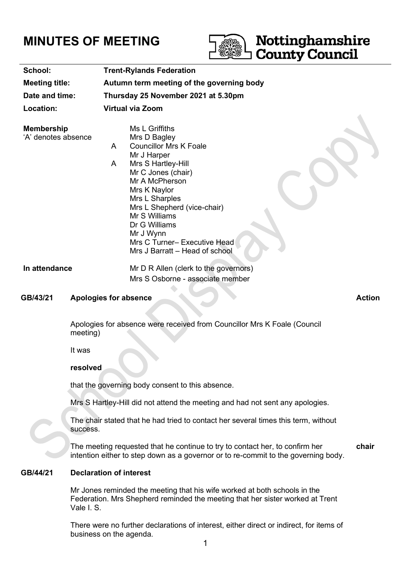# **MINUTES OF MEETING**



| School:                                  | <b>Trent-Rylands Federation</b>                                                                                                                                                                                                                                                                                                          |
|------------------------------------------|------------------------------------------------------------------------------------------------------------------------------------------------------------------------------------------------------------------------------------------------------------------------------------------------------------------------------------------|
| <b>Meeting title:</b>                    | Autumn term meeting of the governing body                                                                                                                                                                                                                                                                                                |
| Date and time:                           | Thursday 25 November 2021 at 5.30pm                                                                                                                                                                                                                                                                                                      |
| Location:                                | <b>Virtual via Zoom</b>                                                                                                                                                                                                                                                                                                                  |
| <b>Membership</b><br>'A' denotes absence | Ms L Griffiths<br>Mrs D Bagley<br><b>Councillor Mrs K Foale</b><br>A<br>Mr J Harper<br>Mrs S Hartley-Hill<br>A<br>Mr C Jones (chair)<br>Mr A McPherson<br>Mrs K Naylor<br>Mrs L Sharples<br>Mrs L Shepherd (vice-chair)<br>Mr S Williams<br>Dr G Williams<br>Mr J Wynn<br>Mrs C Turner- Executive Head<br>Mrs J Barratt – Head of school |
| In attendance                            | Mr D R Allen (clerk to the governors)<br>Mrs S Osborne - associate member                                                                                                                                                                                                                                                                |

#### **GB/43/21** Apologies for absence Action

Apologies for absence were received from Councillor Mrs K Foale (Council meeting)

It was

#### **resolved**

that the governing body consent to this absence.

Mrs S Hartley-Hill did not attend the meeting and had not sent any apologies.

The chair stated that he had tried to contact her several times this term, without success.

The meeting requested that he continue to try to contact her, to confirm her intention either to step down as a governor or to re-commit to the governing body. **chair**

# **GB/44/21 Declaration of interest**

Mr Jones reminded the meeting that his wife worked at both schools in the Federation. Mrs Shepherd reminded the meeting that her sister worked at Trent Vale I. S.

There were no further declarations of interest, either direct or indirect, for items of business on the agenda.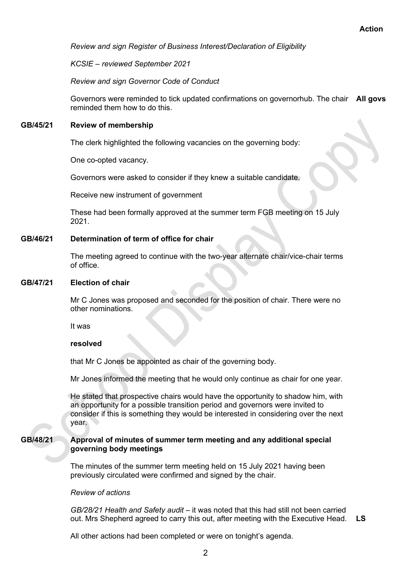*Review and sign Register of Business Interest/Declaration of Eligibility*

*KCSIE – reviewed September 2021*

*Review and sign Governor Code of Conduct*

Governors were reminded to tick updated confirmations on governorhub. The chair **All govs** reminded them how to do this.

# **GB/45/21 Review of membership**

The clerk highlighted the following vacancies on the governing body:

One co-opted vacancy.

Governors were asked to consider if they knew a suitable candidate.

Receive new instrument of government

These had been formally approved at the summer term FGB meeting on 15 July 2021.

# **GB/46/21 Determination of term of office for chair**

The meeting agreed to continue with the two-year alternate chair/vice-chair terms of office.

#### **GB/47/21 Election of chair**

Mr C Jones was proposed and seconded for the position of chair. There were no other nominations.

It was

#### **resolved**

that Mr C Jones be appointed as chair of the governing body.

Mr Jones informed the meeting that he would only continue as chair for one year.

He stated that prospective chairs would have the opportunity to shadow him, with an opportunity for a possible transition period and governors were invited to consider if this is something they would be interested in considering over the next year.

# **GB/48/21 Approval of minutes of summer term meeting and any additional special governing body meetings**

The minutes of the summer term meeting held on 15 July 2021 having been previously circulated were confirmed and signed by the chair.

#### *Review of actions*

*GB/28/21 Health and Safety audit –* it was noted that this had still not been carried out. Mrs Shepherd agreed to carry this out, after meeting with the Executive Head. **LS**

All other actions had been completed or were on tonight's agenda.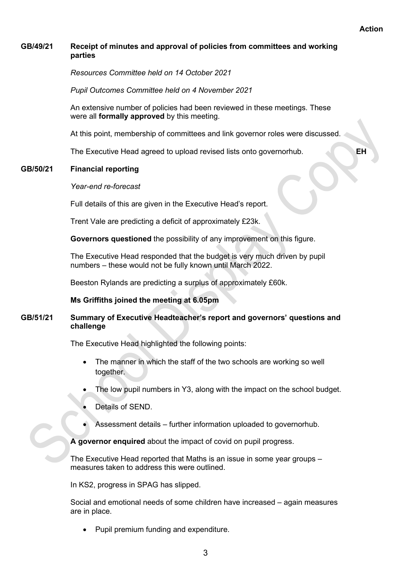# **GB/49/21 Receipt of minutes and approval of policies from committees and working parties**

*Resources Committee held on 14 October 2021*

*Pupil Outcomes Committee held on 4 November 2021*

An extensive number of policies had been reviewed in these meetings. These were all **formally approved** by this meeting.

At this point, membership of committees and link governor roles were discussed.

The Executive Head agreed to upload revised lists onto governorhub. **EH**

# **GB/50/21 Financial reporting**

#### *Year-end re-forecast*

Full details of this are given in the Executive Head's report.

Trent Vale are predicting a deficit of approximately £23k.

**Governors questioned** the possibility of any improvement on this figure.

The Executive Head responded that the budget is very much driven by pupil numbers – these would not be fully known until March 2022.

Beeston Rylands are predicting a surplus of approximately £60k.

#### **Ms Griffiths joined the meeting at 6.05pm**

# **GB/51/21 Summary of Executive Headteacher's report and governors' questions and challenge**

The Executive Head highlighted the following points:

- The manner in which the staff of the two schools are working so well together.
- The low pupil numbers in Y3, along with the impact on the school budget.
- Details of SEND.
- Assessment details further information uploaded to governorhub.

**A governor enquired** about the impact of covid on pupil progress.

The Executive Head reported that Maths is an issue in some year groups – measures taken to address this were outlined.

In KS2, progress in SPAG has slipped.

Social and emotional needs of some children have increased – again measures are in place.

• Pupil premium funding and expenditure.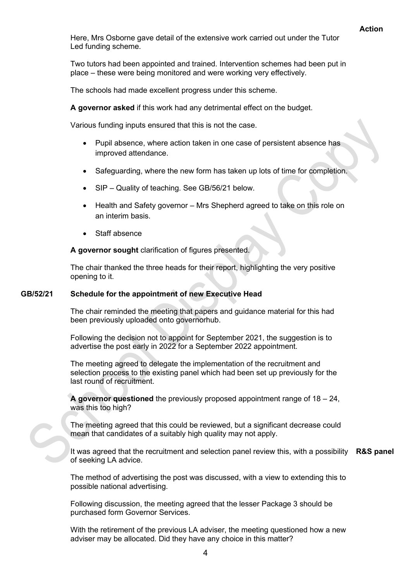Here, Mrs Osborne gave detail of the extensive work carried out under the Tutor Led funding scheme.

Two tutors had been appointed and trained. Intervention schemes had been put in place – these were being monitored and were working very effectively.

The schools had made excellent progress under this scheme.

**A governor asked** if this work had any detrimental effect on the budget.

Various funding inputs ensured that this is not the case.

- Pupil absence, where action taken in one case of persistent absence has improved attendance.
- Safeguarding, where the new form has taken up lots of time for completion.
- SIP Quality of teaching. See GB/56/21 below.
- Health and Safety governor Mrs Shepherd agreed to take on this role on an interim basis.
- Staff absence

**A governor sought** clarification of figures presented.

The chair thanked the three heads for their report, highlighting the very positive opening to it.

### **GB/52/21 Schedule for the appointment of new Executive Head**

The chair reminded the meeting that papers and guidance material for this had been previously uploaded onto governorhub.

Following the decision not to appoint for September 2021, the suggestion is to advertise the post early in 2022 for a September 2022 appointment.

The meeting agreed to delegate the implementation of the recruitment and selection process to the existing panel which had been set up previously for the last round of recruitment.

**A governor questioned** the previously proposed appointment range of 18 – 24, was this too high?

The meeting agreed that this could be reviewed, but a significant decrease could mean that candidates of a suitably high quality may not apply.

It was agreed that the recruitment and selection panel review this, with a possibility **R&S panel** of seeking LA advice.

The method of advertising the post was discussed, with a view to extending this to possible national advertising.

Following discussion, the meeting agreed that the lesser Package 3 should be purchased form Governor Services.

With the retirement of the previous LA adviser, the meeting questioned how a new adviser may be allocated. Did they have any choice in this matter?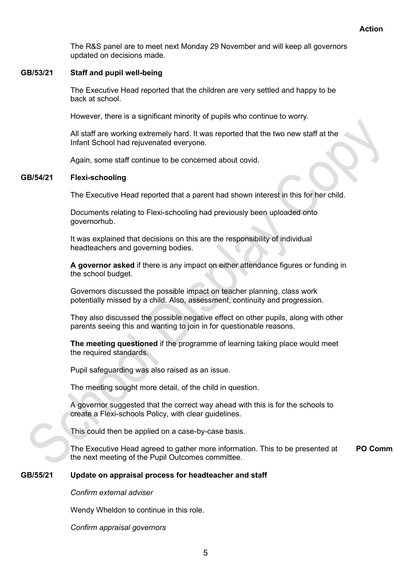The R&S panel are to meet next Monday 29 November and will keep all governors updated on decisions made.

# **GB/53/21 Staff and pupil well-being**

The Executive Head reported that the children are very settled and happy to be back at school.

However, there is a significant minority of pupils who continue to worry.

All staff are working extremely hard. It was reported that the two new staff at the Infant School had rejuvenated everyone.

Again, some staff continue to be concerned about covid.

# **GB/54/21 Flexi-schooling**

The Executive Head reported that a parent had shown interest in this for her child.

Documents relating to Flexi-schooling had previously been uploaded onto governorhub.

It was explained that decisions on this are the responsibility of individual headteachers and governing bodies.

**A governor asked** if there is any impact on either attendance figures or funding in the school budget.

Governors discussed the possible impact on teacher planning, class work potentially missed by a child. Also, assessment, continuity and progression.

They also discussed the possible negative effect on other pupils, along with other parents seeing this and wanting to join in for questionable reasons.

**The meeting questioned** if the programme of learning taking place would meet the required standards.

Pupil safeguarding was also raised as an issue.

The meeting sought more detail, of the child in question.

A governor suggested that the correct way ahead with this is for the schools to create a Flexi-schools Policy, with clear guidelines.

This could then be applied on a case-by-case basis.

The Executive Head agreed to gather more information. This to be presented at the next meeting of the Pupil Outcomes committee. **PO Comm**

### **GB/55/21 Update on appraisal process for headteacher and staff**

*Confirm external adviser*

Wendy Wheldon to continue in this role.

*Confirm appraisal governors*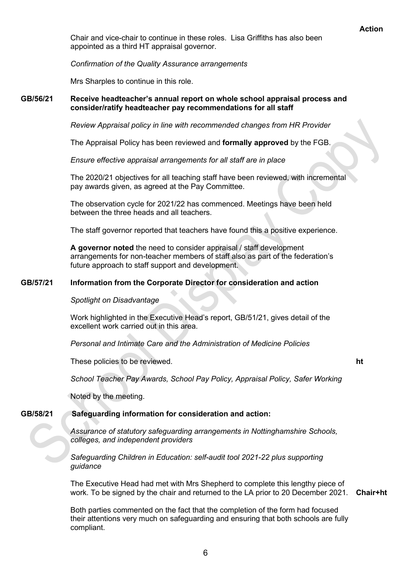Chair and vice-chair to continue in these roles. Lisa Griffiths has also been appointed as a third HT appraisal governor.

*Confirmation of the Quality Assurance arrangements*

Mrs Sharples to continue in this role.

# **GB/56/21 Receive headteacher's annual report on whole school appraisal process and consider/ratify headteacher pay recommendations for all staff**

*Review Appraisal policy in line with recommended changes from HR Provider*

The Appraisal Policy has been reviewed and **formally approved** by the FGB.

*Ensure effective appraisal arrangements for all staff are in place*

The 2020/21 objectives for all teaching staff have been reviewed, with incremental pay awards given, as agreed at the Pay Committee.

The observation cycle for 2021/22 has commenced. Meetings have been held between the three heads and all teachers.

The staff governor reported that teachers have found this a positive experience.

**A governor noted** the need to consider appraisal / staff development arrangements for non-teacher members of staff also as part of the federation's future approach to staff support and development.

# **GB/57/21 Information from the Corporate Director for consideration and action**

*Spotlight on Disadvantage*

Work highlighted in the Executive Head's report, GB/51/21, gives detail of the excellent work carried out in this area.

*Personal and Intimate Care and the Administration of Medicine Policies*

These policies to be reviewed. **ht**

*School Teacher Pay Awards, School Pay Policy, Appraisal Policy, Safer Working*

Noted by the meeting.

# **GB/58/21 Safeguarding information for consideration and action:**

*Assurance of statutory safeguarding arrangements in Nottinghamshire Schools, colleges, and independent providers*

*Safeguarding Children in Education: self-audit tool 2021-22 plus supporting guidance*

The Executive Head had met with Mrs Shepherd to complete this lengthy piece of work. To be signed by the chair and returned to the LA prior to 20 December 2021. **Chair+ht**

Both parties commented on the fact that the completion of the form had focused their attentions very much on safeguarding and ensuring that both schools are fully compliant.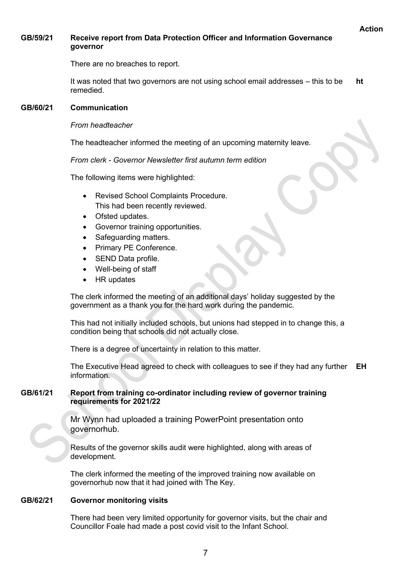# **GB/59/21 Receive report from Data Protection Officer and Information Governance governor**

There are no breaches to report.

It was noted that two governors are not using school email addresses – this to be remedied. **ht**

# **GB/60/21 Communication**

# *From headteacher*

The headteacher informed the meeting of an upcoming maternity leave.

*From clerk - Governor Newsletter first autumn term edition*

The following items were highlighted:

- Revised School Complaints Procedure. This had been recently reviewed.
- Ofsted updates.
- Governor training opportunities.
- Safeguarding matters.
- Primary PE Conference.
- SEND Data profile.
- Well-being of staff
- HR updates

The clerk informed the meeting of an additional days' holiday suggested by the government as a thank you for the hard work during the pandemic.

This had not initially included schools, but unions had stepped in to change this, a condition being that schools did not actually close.

There is a degree of uncertainty in relation to this matter.

The Executive Head agreed to check with colleagues to see if they had any further **EH** information.

# **GB/61/21 Report from training co-ordinator including review of governor training requirements for 2021/22**

Mr Wynn had uploaded a training PowerPoint presentation onto governorhub.

Results of the governor skills audit were highlighted, along with areas of development.

The clerk informed the meeting of the improved training now available on governorhub now that it had joined with The Key.

# **GB/62/21 Governor monitoring visits**

There had been very limited opportunity for governor visits, but the chair and Councillor Foale had made a post covid visit to the Infant School.